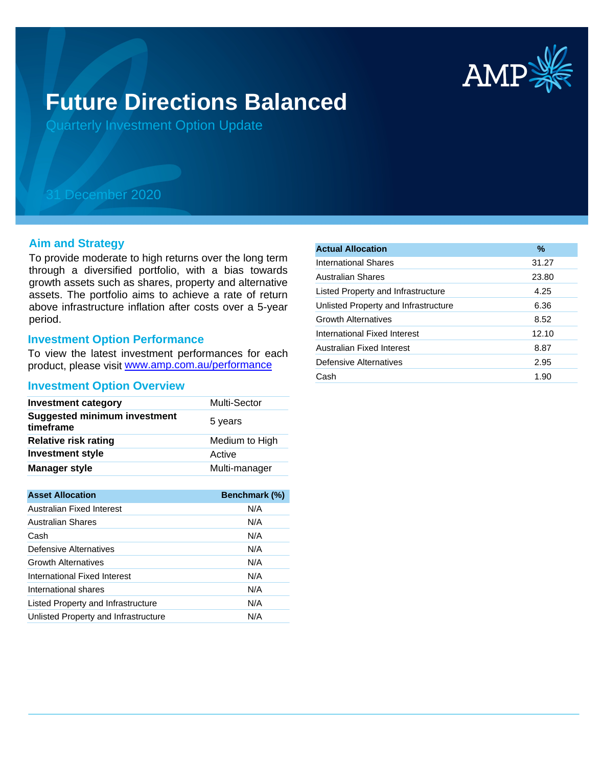

# **Future Directions Balanced**

Quarterly Investment Option Update

## 31 December 2020

#### **Aim and Strategy**

To provide moderate to high returns over the long term through a diversified portfolio, with a bias towards growth assets such as shares, property and alternative assets. The portfolio aims to achieve a rate of return above infrastructure inflation after costs over a 5-year period.

#### **Investment Option Performance**

product, please visit www.amp.com.au/performance To view the latest investment performances for each

#### **Investment Option Overview**

| <b>Investment category</b>                       | <b>Multi-Sector</b> |
|--------------------------------------------------|---------------------|
| <b>Suggested minimum investment</b><br>timeframe | 5 years             |
| <b>Relative risk rating</b>                      | Medium to High      |
| <b>Investment style</b>                          | Active              |
| <b>Manager style</b>                             | Multi-manager       |

| <b>Asset Allocation</b>              | Benchmark (%) |
|--------------------------------------|---------------|
| Australian Fixed Interest            | N/A           |
| Australian Shares                    | N/A           |
| Cash                                 | N/A           |
| Defensive Alternatives               | N/A           |
| <b>Growth Alternatives</b>           | N/A           |
| International Fixed Interest         | N/A           |
| International shares                 | N/A           |
| Listed Property and Infrastructure   | N/A           |
| Unlisted Property and Infrastructure | N/A           |

| <b>Actual Allocation</b>             | $\%$  |
|--------------------------------------|-------|
| International Shares                 | 31.27 |
| Australian Shares                    | 23.80 |
| Listed Property and Infrastructure   | 4.25  |
| Unlisted Property and Infrastructure | 6.36  |
| <b>Growth Alternatives</b>           | 8.52  |
| International Fixed Interest         | 12.10 |
| Australian Fixed Interest            | 8.87  |
| Defensive Alternatives               | 2.95  |
| Cash                                 | 1.90  |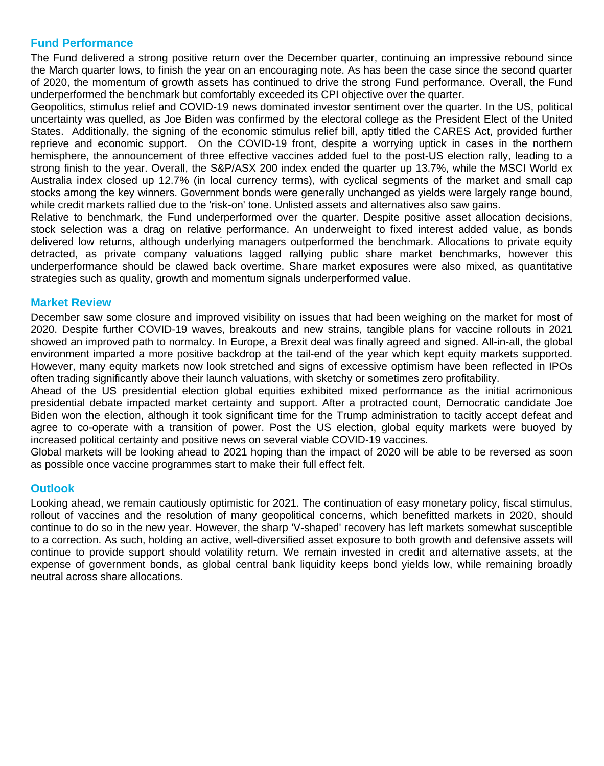### **Fund Performance**

The Fund delivered a strong positive return over the December quarter, continuing an impressive rebound since the March quarter lows, to finish the year on an encouraging note. As has been the case since the second quarter of 2020, the momentum of growth assets has continued to drive the strong Fund performance. Overall, the Fund underperformed the benchmark but comfortably exceeded its CPI objective over the quarter.

Geopolitics, stimulus relief and COVID-19 news dominated investor sentiment over the quarter. In the US, political uncertainty was quelled, as Joe Biden was confirmed by the electoral college as the President Elect of the United States. Additionally, the signing of the economic stimulus relief bill, aptly titled the CARES Act, provided further reprieve and economic support. On the COVID-19 front, despite a worrying uptick in cases in the northern hemisphere, the announcement of three effective vaccines added fuel to the post-US election rally, leading to a strong finish to the year. Overall, the S&P/ASX 200 index ended the quarter up 13.7%, while the MSCI World ex Australia index closed up 12.7% (in local currency terms), with cyclical segments of the market and small cap stocks among the key winners. Government bonds were generally unchanged as yields were largely range bound, while credit markets rallied due to the 'risk-on' tone. Unlisted assets and alternatives also saw gains.

Relative to benchmark, the Fund underperformed over the quarter. Despite positive asset allocation decisions, stock selection was a drag on relative performance. An underweight to fixed interest added value, as bonds delivered low returns, although underlying managers outperformed the benchmark. Allocations to private equity detracted, as private company valuations lagged rallying public share market benchmarks, however this underperformance should be clawed back overtime. Share market exposures were also mixed, as quantitative strategies such as quality, growth and momentum signals underperformed value.

#### **Market Review**

December saw some closure and improved visibility on issues that had been weighing on the market for most of 2020. Despite further COVID-19 waves, breakouts and new strains, tangible plans for vaccine rollouts in 2021 showed an improved path to normalcy. In Europe, a Brexit deal was finally agreed and signed. All-in-all, the global environment imparted a more positive backdrop at the tail-end of the year which kept equity markets supported. However, many equity markets now look stretched and signs of excessive optimism have been reflected in IPOs often trading significantly above their launch valuations, with sketchy or sometimes zero profitability.

Ahead of the US presidential election global equities exhibited mixed performance as the initial acrimonious presidential debate impacted market certainty and support. After a protracted count, Democratic candidate Joe Biden won the election, although it took significant time for the Trump administration to tacitly accept defeat and agree to co-operate with a transition of power. Post the US election, global equity markets were buoyed by increased political certainty and positive news on several viable COVID-19 vaccines.

Global markets will be looking ahead to 2021 hoping than the impact of 2020 will be able to be reversed as soon as possible once vaccine programmes start to make their full effect felt.

#### **Outlook**

Looking ahead, we remain cautiously optimistic for 2021. The continuation of easy monetary policy, fiscal stimulus, rollout of vaccines and the resolution of many geopolitical concerns, which benefitted markets in 2020, should continue to do so in the new year. However, the sharp 'V-shaped' recovery has left markets somewhat susceptible to a correction. As such, holding an active, well-diversified asset exposure to both growth and defensive assets will continue to provide support should volatility return. We remain invested in credit and alternative assets, at the expense of government bonds, as global central bank liquidity keeps bond yields low, while remaining broadly neutral across share allocations.